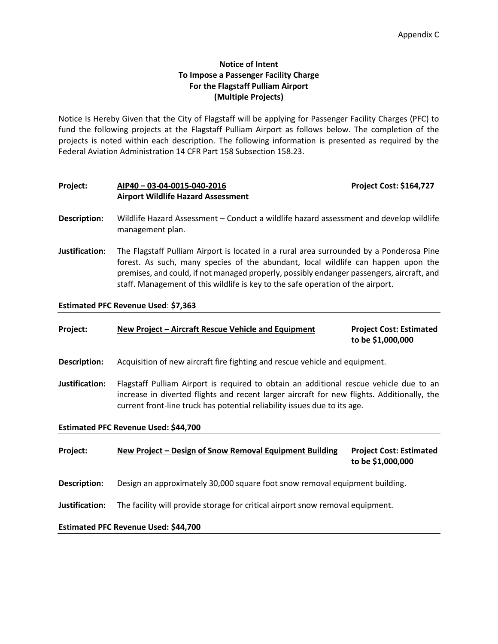# **Notice of Intent To Impose a Passenger Facility Charge For the Flagstaff Pulliam Airport (Multiple Projects)**

Notice Is Hereby Given that the City of Flagstaff will be applying for Passenger Facility Charges (PFC) to fund the following projects at the Flagstaff Pulliam Airport as follows below. The completion of the projects is noted within each description. The following information is presented as required by the Federal Aviation Administration 14 CFR Part 158 Subsection 158.23.

# **Project: AIP40 – 03-04-0015-040-2016 Project Cost: \$164,727 Airport Wildlife Hazard Assessment**

- **Description:** Wildlife Hazard Assessment Conduct a wildlife hazard assessment and develop wildlife management plan.
- **Justification**: The Flagstaff Pulliam Airport is located in a rural area surrounded by a Ponderosa Pine forest. As such, many species of the abundant, local wildlife can happen upon the premises, and could, if not managed properly, possibly endanger passengers, aircraft, and staff. Management of this wildlife is key to the safe operation of the airport.

**Estimated PFC Revenue Used**: **\$7,363**

| Project:                             | New Project – Aircraft Rescue Vehicle and Equipment                                                                                                                                                                                                               | <b>Project Cost: Estimated</b><br>to be \$1,000,000 |  |  |  |  |
|--------------------------------------|-------------------------------------------------------------------------------------------------------------------------------------------------------------------------------------------------------------------------------------------------------------------|-----------------------------------------------------|--|--|--|--|
| <b>Description:</b>                  | Acquisition of new aircraft fire fighting and rescue vehicle and equipment.                                                                                                                                                                                       |                                                     |  |  |  |  |
| Justification:                       | Flagstaff Pulliam Airport is required to obtain an additional rescue vehicle due to an<br>increase in diverted flights and recent larger aircraft for new flights. Additionally, the<br>current front-line truck has potential reliability issues due to its age. |                                                     |  |  |  |  |
| Estimated PFC Revenue Used: \$44,700 |                                                                                                                                                                                                                                                                   |                                                     |  |  |  |  |
| Project:                             | New Project - Design of Snow Removal Equipment Building                                                                                                                                                                                                           | <b>Project Cost: Estimated</b><br>to be \$1,000,000 |  |  |  |  |
| Description:                         | Design an approximately 30,000 square foot snow removal equipment building.                                                                                                                                                                                       |                                                     |  |  |  |  |
| Justification:                       | The facility will provide storage for critical airport snow removal equipment.                                                                                                                                                                                    |                                                     |  |  |  |  |
| Estimated PFC Revenue Used: \$44,700 |                                                                                                                                                                                                                                                                   |                                                     |  |  |  |  |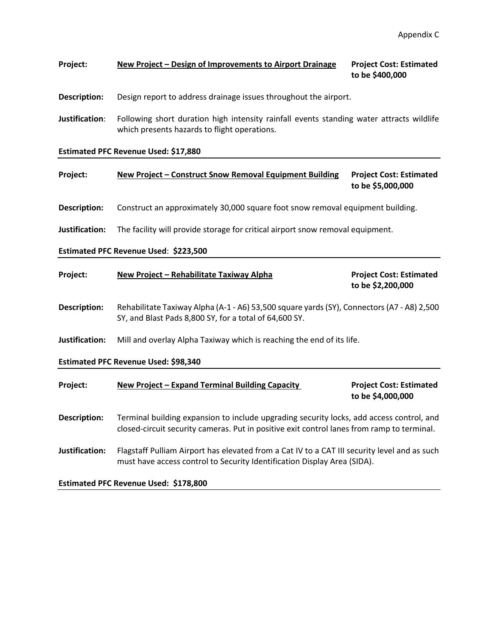# **Project: New Project – Design of Improvements to Airport Drainage Project Cost: Estimated to be \$400,000**

**Description:** Design report to address drainage issues throughout the airport.

**Justification**: Following short duration high intensity rainfall events standing water attracts wildlife which presents hazards to flight operations.

#### **Estimated PFC Revenue Used: \$17,880**

# **Project: New Project – Construct Snow Removal Equipment Building Project Cost: Estimated to be \$5,000,000**

**Description:** Construct an approximately 30,000 square foot snow removal equipment building.

**Justification:** The facility will provide storage for critical airport snow removal equipment.

#### **Estimated PFC Revenue Used**: **\$223,500**

| Project:                             | New Project - Rehabilitate Taxiway Alpha                                                                                                                                               | <b>Project Cost: Estimated</b><br>to be \$2,200,000 |  |  |  |  |  |
|--------------------------------------|----------------------------------------------------------------------------------------------------------------------------------------------------------------------------------------|-----------------------------------------------------|--|--|--|--|--|
| <b>Description:</b>                  | Rehabilitate Taxiway Alpha (A-1 - A6) 53,500 square yards (SY), Connectors (A7 - A8) 2,500<br>SY, and Blast Pads 8,800 SY, for a total of 64,600 SY.                                   |                                                     |  |  |  |  |  |
| Justification:                       | Mill and overlay Alpha Taxiway which is reaching the end of its life.                                                                                                                  |                                                     |  |  |  |  |  |
| Estimated PFC Revenue Used: \$98,340 |                                                                                                                                                                                        |                                                     |  |  |  |  |  |
| Project:                             | New Project - Expand Terminal Building Capacity                                                                                                                                        | <b>Project Cost: Estimated</b><br>to be \$4,000,000 |  |  |  |  |  |
| <b>Description:</b>                  | Terminal building expansion to include upgrading security locks, add access control, and<br>closed-circuit security cameras. Put in positive exit control lanes from ramp to terminal. |                                                     |  |  |  |  |  |
| Justification:                       | Flagstaff Pulliam Airport has elevated from a Cat IV to a CAT III security level and as such<br>must have access control to Security Identification Display Area (SIDA).               |                                                     |  |  |  |  |  |

**Estimated PFC Revenue Used: \$178,800**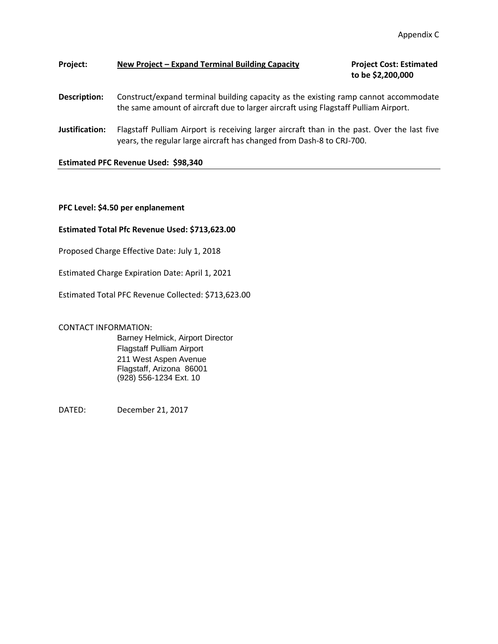# **Project: New Project – Expand Terminal Building Capacity Project Cost: Estimated**

**to be \$2,200,000**

# **Description:** Construct/expand terminal building capacity as the existing ramp cannot accommodate the same amount of aircraft due to larger aircraft using Flagstaff Pulliam Airport.

**Justification:** Flagstaff Pulliam Airport is receiving larger aircraft than in the past. Over the last five years, the regular large aircraft has changed from Dash-8 to CRJ-700.

#### **Estimated PFC Revenue Used: \$98,340**

**PFC Level: \$4.50 per enplanement**

#### **Estimated Total Pfc Revenue Used: \$713,623.00**

Proposed Charge Effective Date: July 1, 2018

Estimated Charge Expiration Date: April 1, 2021

Estimated Total PFC Revenue Collected: \$713,623.00

#### CONTACT INFORMATION:

Barney Helmick, Airport Director Flagstaff Pulliam Airport 211 West Aspen Avenue Flagstaff, Arizona 86001 (928) 556-1234 Ext. 10

DATED: December 21, 2017